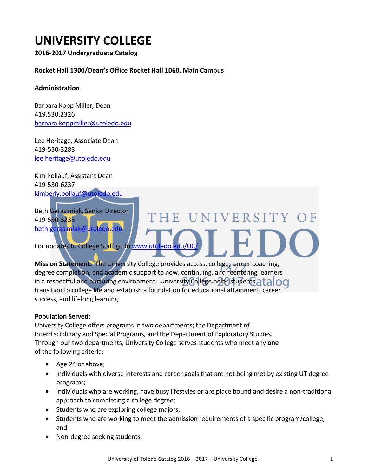# **UNIVERSITY COLLEGE**

**2016-2017 Undergraduate Catalog**

## **Rocket Hall 1300/Dean's Office Rocket Hall 1060, Main Campus**

#### **Administration**

Barbara Kopp Miller, Dean 419.530.2326 [barbara.koppmiller@utoledo.edu](mailto:barbara.koppmiller@utoledo.edu)

Lee Heritage, Associate Dean 419-530-3283 [lee.heritage@utoledo.edu](mailto:lee.heritage@utoledo.edu)

Kim Pollauf, Assistant Dean 419-530-6237 [kimberly.pollauf@utoledo.edu](mailto:kimberly.pollauf@utoledo.edu)

Beth Gerasimiak, Senior Director 419-530-3233 beth.gerasimiak@u

For updates to College Staff go to www.utoledo.

**Mission Statement:** The University College provides access, college, career coaching, degree completion, and academic support to new, continuing, and reentering learners in a respectful and nurturing environment. University College helps students  $\frac{1}{100}$ transition to college life and establish a foundation for educational attainment, career success, and lifelong learning.

## **Population Served:**

University College offers programs in two departments; the Department of Interdisciplinary and Special Programs, and the Department of Exploratory Studies. Through our two departments, University College serves students who meet any **one**  of the following criteria:

- Age 24 or above;
- Individuals with diverse interests and career goals that are not being met by existing UT degree programs;

HE UNIVERSITY OF

- Individuals who are working, have busy lifestyles or are place bound and desire a non-traditional approach to completing a college degree;
- Students who are exploring college majors;
- Students who are working to meet the admission requirements of a specific program/college; and
- Non-degree seeking students.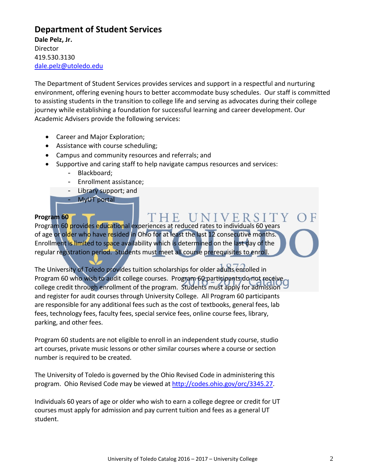# **Department of Student Services**

**Dale Pelz, Jr. Director** 419.530.3130 [dale.pelz@utoledo.edu](mailto:dale.pelz@utoledo.edu)

The Department of Student Services provides services and support in a respectful and nurturing environment, offering evening hours to better accommodate busy schedules. Our staff is committed to assisting students in the transition to college life and serving as advocates during their college journey while establishing a foundation for successful learning and career development. Our Academic Advisers provide the following services:

- Career and Major Exploration;
- Assistance with course scheduling;
- Campus and community resources and referrals; and
- Supportive and caring staff to help navigate campus resources and services:
	- Blackboard;
	- Enrollment assistance;
	- Library support; and
	- MyUT portal

## **Program 60**

VERSI Program 60 provides educational experiences at reduced rates to individuals 60 years of age or older who have resided in Ohio for at least the last 12 consecutive months. Enrollment is limited to space availability which is determined on the last day of the regular registration period. Students must meet all course prerequisites to enroll.

The University of Toledo provides tuition scholarships for older adults enrolled in Program 60 who wish to audit college courses. Program 60 participants do not receive college credit through enrollment of the program. Students must apply for admission 9 and register for audit courses through University College. All Program 60 participants are responsible for any additional fees such as the cost of textbooks, general fees, lab fees, technology fees, faculty fees, special service fees, online course fees, library, parking, and other fees.

Program 60 students are not eligible to enroll in an independent study course, studio art courses, private music lessons or other similar courses where a course or section number is required to be created.

The University of Toledo is governed by the Ohio Revised Code in administering this program. Ohio Revised Code may be viewed at [http://codes.ohio.gov/orc/3345.27.](http://codes.ohio.gov/orc/3345.27)

Individuals 60 years of age or older who wish to earn a college degree or credit for UT courses must apply for admission and pay current tuition and fees as a general UT student.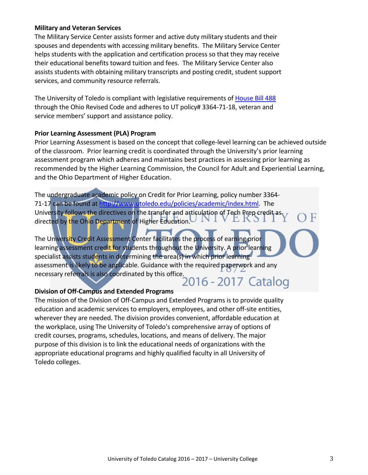## **Military and Veteran Services**

The Military Service Center assists former and active duty military students and their spouses and dependents with accessing military benefits. The Military Service Center helps students with the application and certification process so that they may receive their educational benefits toward tuition and fees. The Military Service Center also assists students with obtaining military transcripts and posting credit, student support services, and community resource referrals.

The University of Toledo is compliant with legislative requirements of [House Bill 488](https://www.ohiohighered.org/valuing_ohio_veterans/toolkit/policies/ohio-revised-code) through the Ohio Revised Code and adheres to UT policy# 3364-71-18, veteran and service members' support and assistance policy.

#### **Prior Learning Assessment (PLA) Program**

Prior Learning Assessment is based on the concept that college-level learning can be achieved outside of the classroom. Prior learning credit is coordinated through the University's prior learning assessment program which adheres and maintains best practices in assessing prior learning as recommended by the Higher Learning Commission, the Council for Adult and Experiential Learning, and the Ohio Department of Higher Education.

The undergraduate academic policy on Credit for Prior Learning, policy number 3364 71-17 can be found at [http://www.utoledo.edu/policies/academic/index.html.](http://www.utoledo.edu/policies/academic/index.html) The University follows the directives on the transfer and articulation of Tech Prep credit as,  $\overline{\chi}$ directed by the Ohio Department of Higher Education.

The University Credit Assessment Center facilitates the process of earning prior learning assessment credit for students throughout the University. A prior learning specialist assists students in determining the area(s) in which prior learning assessment is likely to be applicable. Guidance with the required paperwork and any necessary referrals is also coordinated by this office.

## **Division of Off-Campus and Extended Programs**

The mission of the Division of Off-Campus and Extended Programs is to provide quality education and academic services to employers, employees, and other off-site entities, wherever they are needed. The division provides convenient, affordable education at the workplace, using The University of Toledo's comprehensive array of options of credit courses, programs, schedules, locations, and means of delivery. The major purpose of this division is to link the educational needs of organizations with the appropriate educational programs and highly qualified faculty in all University of Toledo colleges.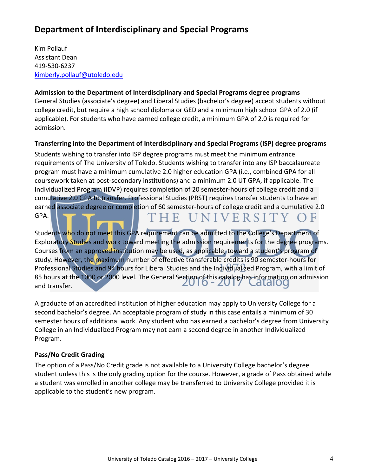# **Department of Interdisciplinary and Special Programs**

Kim Pollauf Assistant Dean 419-530-6237 [kimberly.pollauf@utoledo.edu](mailto:kimberly.pollauf@utoledo.edu)

## **Admission to the Department of Interdisciplinary and Special Programs degree programs**

General Studies (associate's degree) and Liberal Studies (bachelor's degree) accept students without college credit, but require a high school diploma or GED and a minimum high school GPA of 2.0 (if applicable). For students who have earned college credit, a minimum GPA of 2.0 is required for admission.

## **Transferring into the Department of Interdisciplinary and Special Programs (ISP) degree programs**

Students wishing to transfer into ISP degree programs must meet the minimum entrance requirements of The University of Toledo. Students wishing to transfer into any ISP baccalaureate program must have a minimum cumulative 2.0 higher education GPA (i.e., combined GPA for all coursework taken at post-secondary institutions) and a minimum 2.0 UT GPA, if applicable. The Individualized Program (IDVP) requires completion of 20 semester-hours of college credit and a cumulative 2.0 GPA to transfer. Professional Studies (PRST) requires transfer students to have an earned associate degree or completion of 60 semester-hours of college credit and a cumulative 2.0 GPA. THE UNIVERSITY  $E$ 

Students who do not meet this GPA requirement can be admitted to the College's Department of Exploratory Studies and work toward meeting the admission requirements for the degree programs. Courses from an approved institution may be used, as applicable, toward a student's program of study. However, the maximum number of effective transferable credits is 90 semester-hours for Professional Studies and 94 hours for Liberal Studies and the Individualized Program, with a limit of 85 hours at the 1000 or 2000 level. The General Section of this catalog has information on admission and transfer.

A graduate of an accredited institution of higher education may apply to University College for a second bachelor's degree. An acceptable program of study in this case entails a minimum of 30 semester hours of additional work. Any student who has earned a bachelor's degree from University College in an Individualized Program may not earn a second degree in another Individualized Program.

## **Pass/No Credit Grading**

The option of a Pass/No Credit grade is not available to a University College bachelor's degree student unless this is the only grading option for the course. However, a grade of Pass obtained while a student was enrolled in another college may be transferred to University College provided it is applicable to the student's new program.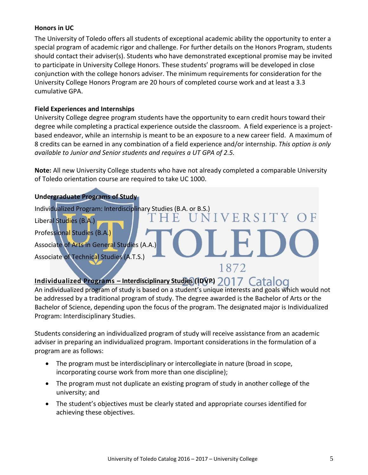## **Honors in UC**

The University of Toledo offers all students of exceptional academic ability the opportunity to enter a special program of academic rigor and challenge. For further details on the Honors Program, students should contact their adviser(s). Students who have demonstrated exceptional promise may be invited to participate in University College Honors. These students' programs will be developed in close conjunction with the college honors adviser. The minimum requirements for consideration for the University College Honors Program are 20 hours of completed course work and at least a 3.3 cumulative GPA.

## **Field Experiences and Internships**

University College degree program students have the opportunity to earn credit hours toward their degree while completing a practical experience outside the classroom. A field experience is a projectbased endeavor, while an internship is meant to be an exposure to a new career field. A maximum of 8 credits can be earned in any combination of a field experience and/or internship. *This option is only available to Junior and Senior students and requires a UT GPA of 2.5.*

**Note:** All new University College students who have not already completed a comparable University of Toledo orientation course are required to take UC 1000.

## **Undergraduate Programs of Study**

Individualized Program: Interdisciplinary Studies (B.A. or B.S.) VERSITY Liberal Studies (B.A.) Professional Studies (B.A.) Associate of Arts in General Studies (A.A.) Associate of Technical Studies (A.T.S.) 1872

# **Individualized Programs – Interdisciplinary Studies (IDVP)**

An individualized program of study is based on a student's unique interests and goals which would not be addressed by a traditional program of study. The degree awarded is the Bachelor of Arts or the Bachelor of Science, depending upon the focus of the program. The designated major is Individualized Program: Interdisciplinary Studies.

Students considering an individualized program of study will receive assistance from an academic adviser in preparing an individualized program. Important considerations in the formulation of a program are as follows:

- The program must be interdisciplinary or intercollegiate in nature (broad in scope, incorporating course work from more than one discipline);
- The program must not duplicate an existing program of study in another college of the university; and
- The student's objectives must be clearly stated and appropriate courses identified for achieving these objectives.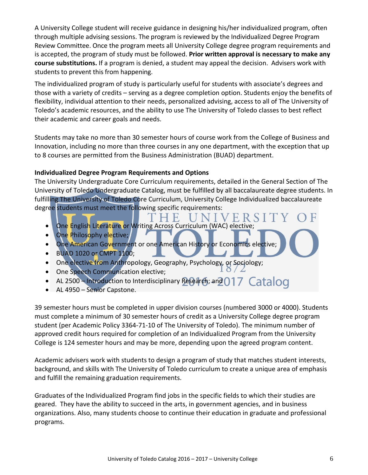A University College student will receive guidance in designing his/her individualized program, often through multiple advising sessions. The program is reviewed by the Individualized Degree Program Review Committee. Once the program meets all University College degree program requirements and is accepted, the program of study must be followed. **Prior written approval is necessary to make any course substitutions.** If a program is denied, a student may appeal the decision. Advisers work with students to prevent this from happening.

The individualized program of study is particularly useful for students with associate's degrees and those with a variety of credits – serving as a degree completion option. Students enjoy the benefits of flexibility, individual attention to their needs, personalized advising, access to all of The University of Toledo's academic resources, and the ability to use The University of Toledo classes to best reflect their academic and career goals and needs.

Students may take no more than 30 semester hours of course work from the College of Business and Innovation, including no more than three courses in any one department, with the exception that up to 8 courses are permitted from the Business Administration (BUAD) department.

## **Individualized Degree Program Requirements and Options**

The University Undergraduate Core Curriculum requirements, detailed in the General Section of The University of Toledo Undergraduate Catalog, must be fulfilled by all baccalaureate degree students. In fulfilling The University of Toledo Core Curriculum, University College Individualized baccalaureate degree students must meet the following specific requirements:

- VERSI • One English Literature or Writing Across Curriculum (WAC) elective;
- One Philosophy elective;
- One American Government or one American History or Economics elective;
- BUAD 1020 or CMPT 1100;
- One elective from Anthropology, Geography, Psychology, or Sociology;
- One Speech Communication elective;
- AL 2500 Introduction to Interdisciplinary Research; and 017 Catalog
- AL 4950 Senior Capstone.

39 semester hours must be completed in upper division courses (numbered 3000 or 4000). Students must complete a minimum of 30 semester hours of credit as a University College degree program student (per Academic Policy 3364-71-10 of The University of Toledo). The minimum number of approved credit hours required for completion of an Individualized Program from the University College is 124 semester hours and may be more, depending upon the agreed program content.

Academic advisers work with students to design a program of study that matches student interests, background, and skills with The University of Toledo curriculum to create a unique area of emphasis and fulfill the remaining graduation requirements.

Graduates of the Individualized Program find jobs in the specific fields to which their studies are geared. They have the ability to succeed in the arts, in government agencies, and in business organizations. Also, many students choose to continue their education in graduate and professional programs.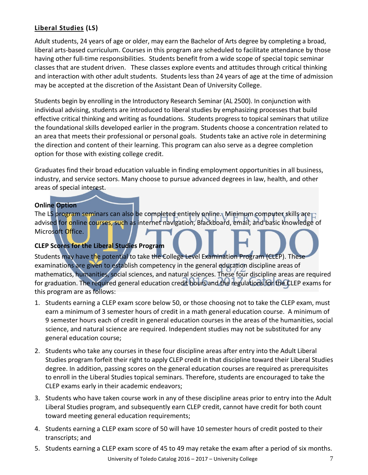## **Liberal Studies (LS)**

Adult students, 24 years of age or older, may earn the Bachelor of Arts degree by completing a broad, liberal arts-based curriculum. Courses in this program are scheduled to facilitate attendance by those having other full-time responsibilities. Students benefit from a wide scope of special topic seminar classes that are student driven. These classes explore events and attitudes through critical thinking and interaction with other adult students. Students less than 24 years of age at the time of admission may be accepted at the discretion of the Assistant Dean of University College.

Students begin by enrolling in the Introductory Research Seminar (AL 2500). In conjunction with individual advising, students are introduced to liberal studies by emphasizing processes that build effective critical thinking and writing as foundations. Students progress to topical seminars that utilize the foundational skills developed earlier in the program. Students choose a concentration related to an area that meets their professional or personal goals. Students take an active role in determining the direction and content of their learning. This program can also serve as a degree completion option for those with existing college credit.

Graduates find their broad education valuable in finding employment opportunities in all business, industry, and service sectors. Many choose to pursue advanced degrees in law, health, and other areas of special interest.

## **Online Option**

The LS program seminars can also be completed entirely online. Minimum computer skills are  $\Gamma$ advised for online courses, such as internet navigation, Blackboard, email, and basic knowledge of Microsoft Office.

## **CLEP Scores for the Liberal Studies Program**

Students may have the potential to take the College Level Examination Program (CLEP). These examinations are given to establish competency in the general education discipline areas of mathematics, humanities, social sciences, and natural sciences. These four discipline areas are required for graduation. The required general education credit hours and the regulations for the CLEP exams for this program are as follows:

- 1. Students earning a CLEP exam score below 50, or those choosing not to take the CLEP exam, must earn a minimum of 3 semester hours of credit in a math general education course. A minimum of 9 semester hours each of credit in general education courses in the areas of the humanities, social science, and natural science are required. Independent studies may not be substituted for any general education course;
- 2. Students who take any courses in these four discipline areas after entry into the Adult Liberal Studies program forfeit their right to apply CLEP credit in that discipline toward their Liberal Studies degree. In addition, passing scores on the general education courses are required as prerequisites to enroll in the Liberal Studies topical seminars. Therefore, students are encouraged to take the CLEP exams early in their academic endeavors;
- 3. Students who have taken course work in any of these discipline areas prior to entry into the Adult Liberal Studies program, and subsequently earn CLEP credit, cannot have credit for both count toward meeting general education requirements;
- 4. Students earning a CLEP exam score of 50 will have 10 semester hours of credit posted to their transcripts; and
- 5. Students earning a CLEP exam score of 45 to 49 may retake the exam after a period of six months.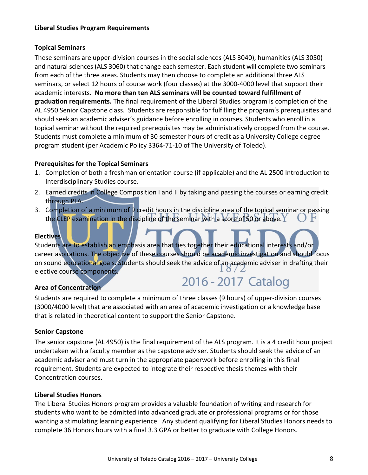## **Liberal Studies Program Requirements**

## **Topical Seminars**

These seminars are upper-division courses in the social sciences (ALS 3040), humanities (ALS 3050) and natural sciences (ALS 3060) that change each semester. Each student will complete two seminars from each of the three areas. Students may then choose to complete an additional three ALS seminars, or select 12 hours of course work (four classes) at the 3000-4000 level that support their academic interests. **No more than ten ALS seminars will be counted toward fulfillment of graduation requirements.** The final requirement of the Liberal Studies program is completion of the AL 4950 Senior Capstone class. Students are responsible for fulfilling the program's prerequisites and should seek an academic adviser's guidance before enrolling in courses. Students who enroll in a topical seminar without the required prerequisites may be administratively dropped from the course. Students must complete a minimum of 30 semester hours of credit as a University College degree program student (per Academic Policy 3364-71-10 of The University of Toledo).

## **Prerequisites for the Topical Seminars**

- 1. Completion of both a freshman orientation course (if applicable) and the AL 2500 Introduction to Interdisciplinary Studies course.
- 2. Earned credits in College Composition I and II by taking and passing the courses or earning credit through PLA.
- 3. Completion of a minimum of 9 credit hours in the discipline area of the topical seminar or passing the CLEP examination in the discipline of the seminar with a score of 50 or above.  $\Upsilon$

## **Electives**

Students are to establish an emphasis area that ties together their educational interests and/or career aspirations. The objective of these courses should be academic investigation and should focus on sound educational goals. Students should seek the advice of an academic adviser in drafting their<br>cloctive course components elective course components.

## **Area of Concentration**

2016 - 2017 Catalog

Students are required to complete a minimum of three classes (9 hours) of upper-division courses (3000/4000 level) that are associated with an area of academic investigation or a knowledge base that is related in theoretical content to support the Senior Capstone.

## **Senior Capstone**

The senior capstone (AL 4950) is the final requirement of the ALS program. It is a 4 credit hour project undertaken with a faculty member as the capstone adviser. Students should seek the advice of an academic adviser and must turn in the appropriate paperwork before enrolling in this final requirement. Students are expected to integrate their respective thesis themes with their Concentration courses.

## **Liberal Studies Honors**

The Liberal Studies Honors program provides a valuable foundation of writing and research for students who want to be admitted into advanced graduate or professional programs or for those wanting a stimulating learning experience. Any student qualifying for Liberal Studies Honors needs to complete 36 Honors hours with a final 3.3 GPA or better to graduate with College Honors.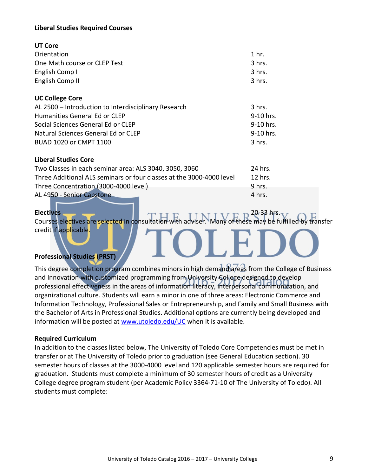## **Liberal Studies Required Courses**

| UT Core                                              |                  |
|------------------------------------------------------|------------------|
| Orientation                                          | 1 <sub>hr.</sub> |
| One Math course or CLEP Test                         | 3 hrs.           |
| English Comp I                                       | 3 hrs.           |
| English Comp II                                      | 3 hrs.           |
|                                                      |                  |
| <b>UC College Core</b>                               |                  |
| AL 2500 - Introduction to Interdisciplinary Research | $3$ hrs.         |
| Humanities General Ed or CLFP                        | 9-10 hrs.        |
| Social Sciences General Ed or CLEP                   | 9-10 hrs.        |
| Natural Sciences General Ed or CLEP                  | $9-10$ hrs.      |
| BUAD 1020 or CMPT 1100                               | $3$ hrs.         |
|                                                      |                  |

## **Liberal Studies Core**

| Two Classes in each seminar area: ALS 3040, 3050, 3060               | -24 hrs. |
|----------------------------------------------------------------------|----------|
| Three Additional ALS seminars or four classes at the 3000-4000 level | 12 hrs.  |
| Three Concentration (3000-4000 level)                                | 9 hrs.   |
| AL 4950 - Senior Capstone                                            | 4 hrs.   |

**Electives** 20-33 hrs. Courses electives are selected in consultation with adviser. Many of these may be fulfilled by transfer credit if applicable.

## **Professional Studies (PRST)**

This degree completion program combines minors in high demand areas from the College of Business and Innovation with customized programming from University College designed to develop professional effectiveness in the areas of information literacy, interpersonal communication, and organizational culture. Students will earn a minor in one of three areas: Electronic Commerce and Information Technology, Professional Sales or Entrepreneurship, and Family and Small Business with the Bachelor of Arts in Professional Studies. Additional options are currently being developed and information will be posted a[t www.utoledo.edu/UC](http://www.utoledo.edu/CALL) when it is available.

## **Required Curriculum**

In addition to the classes listed below, The University of Toledo Core Competencies must be met in transfer or at The University of Toledo prior to graduation (see General Education section). 30 semester hours of classes at the 3000-4000 level and 120 applicable semester hours are required for graduation. Students must complete a minimum of 30 semester hours of credit as a University College degree program student (per Academic Policy 3364-71-10 of The University of Toledo). All students must complete: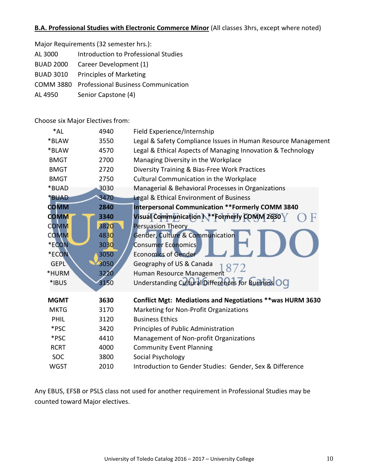## **B.A. Professional Studies with Electronic Commerce Minor** (All classes 3hrs, except where noted)

| Major Requirements (32 semester hrs.): |  |  |
|----------------------------------------|--|--|
|----------------------------------------|--|--|

- AL 3000 Introduction to Professional Studies
- BUAD 2000 Career Development (1)
- BUAD 3010 Principles of Marketing
- COMM 3880 Professional Business Communication
- AL 4950 Senior Capstone (4)

Choose six Major Electives from:

| *AL         | 4940 | Field Experience/Internship                                   |
|-------------|------|---------------------------------------------------------------|
| *BLAW       | 3550 | Legal & Safety Compliance Issues in Human Resource Management |
| *BLAW       | 4570 | Legal & Ethical Aspects of Managing Innovation & Technology   |
| <b>BMGT</b> | 2700 | Managing Diversity in the Workplace                           |
| <b>BMGT</b> | 2720 | Diversity Training & Bias-Free Work Practices                 |
| <b>BMGT</b> | 2750 | <b>Cultural Communication in the Workplace</b>                |
| *BUAD       | 3030 | Managerial & Behavioral Processes in Organizations            |
| *BUAD       | 3470 | <b>Legal &amp; Ethical Environment of Business</b>            |
| <b>COMM</b> | 2840 | <b>Interpersonal Communication ** Formerly COMM 3840</b>      |
| <b>COMM</b> | 3340 | Visual Communication N ** Formerly COMM 2630                  |
| <b>COMM</b> | 3820 | <b>Persuasion Theory</b>                                      |
| <b>COMM</b> | 4830 | <b>Gender, Culture &amp; Communication</b>                    |
| *ECON       | 3030 | <b>Consumer Economics</b>                                     |
| *ECON       | 3050 | <b>Economics of Gender</b>                                    |
| <b>GEPL</b> | 3050 | Geography of US & Canada                                      |
| *HURM       | 3220 | Human Resource Management                                     |
| *IBUS       | 3150 | Understanding Cultural Differences for Business OC            |
| <b>MGMT</b> | 3630 | Conflict Mgt: Mediations and Negotiations ** was HURM 3630    |
| <b>MKTG</b> | 3170 | Marketing for Non-Profit Organizations                        |
| PHIL        | 3120 | <b>Business Ethics</b>                                        |
| *PSC        | 3420 | Principles of Public Administration                           |
| *PSC        | 4410 | Management of Non-profit Organizations                        |
| <b>RCRT</b> | 4000 | <b>Community Event Planning</b>                               |
| <b>SOC</b>  | 3800 | Social Psychology                                             |
| <b>WGST</b> | 2010 | Introduction to Gender Studies: Gender, Sex & Difference      |

Any EBUS, EFSB or PSLS class not used for another requirement in Professional Studies may be counted toward Major electives.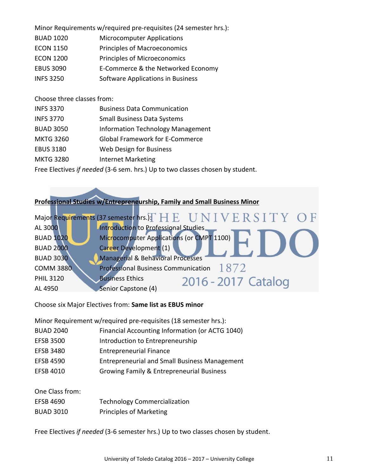Minor Requirements w/required pre-requisites (24 semester hrs.):

- BUAD 1020 Microcomputer Applications
- ECON 1150 Principles of Macroeconomics
- ECON 1200 Principles of Microeconomics
- EBUS 3090 E-Commerce & the Networked Economy
- INFS 3250 Software Applications in Business

Choose three classes from:

| <b>INFS 3370</b> | <b>Business Data Communication</b>       |
|------------------|------------------------------------------|
| <b>INFS 3770</b> | <b>Small Business Data Systems</b>       |
| <b>BUAD 3050</b> | <b>Information Technology Management</b> |
| <b>MKTG 3260</b> | <b>Global Framework for E-Commerce</b>   |
| <b>EBUS 3180</b> | Web Design for Business                  |
| <b>MKTG 3280</b> | <b>Internet Marketing</b>                |
|                  |                                          |

Free Electives *if needed* (3-6 sem. hrs.) Up to two classes chosen by student.

## **Professional Studies w/Entrepreneurship, Family and Small Business Minor**

|                  | Major Requirements (37 semester hrs.): $H E U N I V E R S I T Y O F$ |
|------------------|----------------------------------------------------------------------|
| AL 3000          | Introduction to Professional Studies.                                |
| <b>BUAD 1020</b> | Microcomputer Applications (or CMPT 1100)                            |
| <b>BUAD 2000</b> | Career Development (1)                                               |
| <b>BUAD 3030</b> | <b>Managerial &amp; Behavioral Processes</b>                         |
| <b>COMM 3880</b> | Professional Business Communication $1872$                           |
| <b>PHIL 3120</b> | <b>Business Ethics</b><br>2016 - 2017 Catalog                        |
| AL 4950          | Senior Capstone (4)                                                  |

Choose six Major Electives from: **Same list as EBUS minor**

Minor Requirement w/required pre-requisites (18 semester hrs.):

- BUAD 2040 Financial Accounting Information (or ACTG 1040)
- EFSB 3500 Introduction to Entrepreneurship
- EFSB 3480 Entrepreneurial Finance
- EFSB 4590 Entrepreneurial and Small Business Management
- EFSB 4010 Growing Family & Entrepreneurial Business

One Class from: EFSB 4690 Technology Commercialization BUAD 3010 Principles of Marketing

Free Electives *if needed* (3-6 semester hrs.) Up to two classes chosen by student.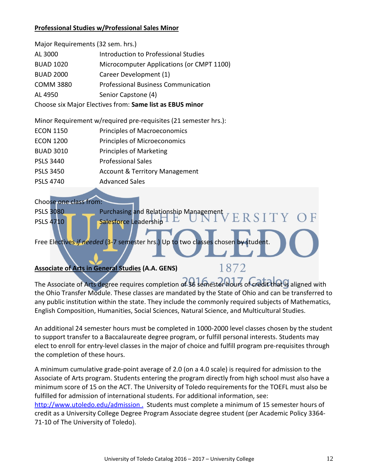## **Professional Studies w/Professional Sales Minor**

| Major Requirements (32 sem. hrs.)                        |                                            |  |
|----------------------------------------------------------|--------------------------------------------|--|
| AL 3000                                                  | Introduction to Professional Studies       |  |
| <b>BUAD 1020</b>                                         | Microcomputer Applications (or CMPT 1100)  |  |
| <b>BUAD 2000</b>                                         | Career Development (1)                     |  |
| <b>COMM 3880</b>                                         | <b>Professional Business Communication</b> |  |
| AL 4950                                                  | Senior Capstone (4)                        |  |
| Choose six Major Electives from: Same list as EBUS minor |                                            |  |

Minor Requirement w/required pre-requisites (21 semester hrs.):

- ECON 1200 Principles of Microeconomics
- BUAD 3010 Principles of Marketing
- PSLS 3440 Professional Sales
- PSLS 3450 Account & Territory Management
- PSLS 4740 Advanced Sales

## Choose one class from:

PSLS 3080 Purchasing and Relationship Management ERSITY PSLS 4710 Salesforce Leadership

Free Electives *if needed* (3-7 semester hrs.) Up to two classes chosen by

## **Associate of Arts in General Studies (A.A. GENS)**

# 1872

The Associate of Arts degree requires completion of 36 semester hours of credit that is aligned with the Ohio Transfer Module. These classes are mandated by the State of Ohio and can be transferred to any public institution within the state. They include the commonly required subjects of Mathematics, English Composition, Humanities, Social Sciences, Natural Science, and Multicultural Studies.

An additional 24 semester hours must be completed in 1000-2000 level classes chosen by the student to support transfer to a Baccalaureate degree program, or fulfill personal interests. Students may elect to enroll for entry-level classes in the major of choice and fulfill program pre-requisites through the completion of these hours.

A minimum cumulative grade-point average of 2.0 (on a 4.0 scale) is required for admission to the Associate of Arts program. Students entering the program directly from high school must also have a minimum score of 15 on the ACT. The University of Toledo requirements for the TOEFL must also be fulfilled for admission of international students. For additional information, see: <http://www.utoledo.edu/admission> . Students must complete a minimum of 15 semester hours of credit as a University College Degree Program Associate degree student (per Academic Policy 3364-

71-10 of The University of Toledo).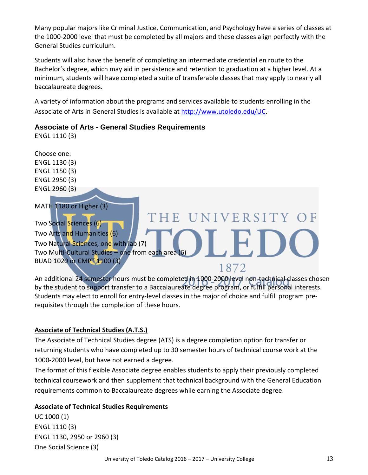Many popular majors like Criminal Justice, Communication, and Psychology have a series of classes at the 1000-2000 level that must be completed by all majors and these classes align perfectly with the General Studies curriculum.

Students will also have the benefit of completing an intermediate credential en route to the Bachelor's degree, which may aid in persistence and retention to graduation at a higher level. At a minimum, students will have completed a suite of transferable classes that may apply to nearly all baccalaureate degrees.

A variety of information about the programs and services available to students enrolling in the Associate of Arts in General Studies is available at [http://www.utoledo.edu/UC.](http://www.utoledo.edu/CALL)

## **Associate of Arts - General Studies Requirements**

ENGL 1110 (3)



An additional 24 semester hours must be completed in 1000-2000 level non-technical classes chosen by the student to support transfer to a Baccalaureate degree program, or fulfill personal interests. Students may elect to enroll for entry-level classes in the major of choice and fulfill program prerequisites through the completion of these hours.

## **Associate of Technical Studies (A.T.S.)**

The Associate of Technical Studies degree (ATS) is a degree completion option for transfer or returning students who have completed up to 30 semester hours of technical course work at the 1000-2000 level, but have not earned a degree.

The format of this flexible Associate degree enables students to apply their previously completed technical coursework and then supplement that technical background with the General Education requirements common to Baccalaureate degrees while earning the Associate degree.

## **Associate of Technical Studies Requirements**

UC 1000 (1) ENGL 1110 (3) ENGL 1130, 2950 or 2960 (3) One Social Science (3)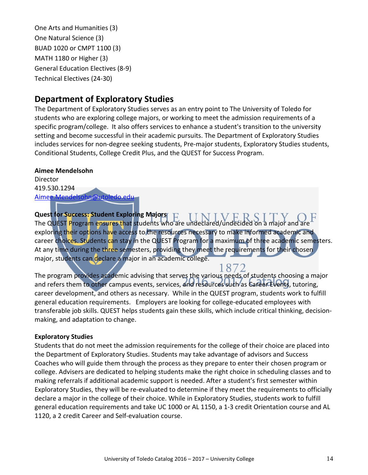One Arts and Humanities (3) One Natural Science (3) BUAD 1020 or CMPT 1100 (3) MATH 1180 or Higher (3) General Education Electives (8-9) Technical Electives (24-30)

# **Department of Exploratory Studies**

The Department of Exploratory Studies serves as an entry point to The University of Toledo for students who are exploring college majors, or working to meet the admission requirements of a specific program/college. It also offers services to enhance a student's transition to the university setting and become successful in their academic pursuits. The Department of Exploratory Studies includes services for non-degree seeking students, Pre-major students, Exploratory Studies students, Conditional Students, College Credit Plus, and the QUEST for Success Program.

**Aimee Mendelsohn** Director 419.530.1294

[Aimee.Mendelsohn@utoledo.edu](mailto:Aimee.Mendelsohn@utoledo.edu)

**Quest for Success: Student Exploring Majors** The QUEST Program ensures that students who are undeclared/undecided on a major and are exploring their options have access to the resources necessary to make informed academic and career choices. Students can stay in the QUEST Program for a maximum of three academic semesters. At any time during the three semesters, providing they meet the requirements for their chosen major, students can declare a major in an academic college.

1872 The program provides academic advising that serves the various needs of students choosing a major and refers them to other campus events, services, and resources such as Career Events, tutoring, career development, and others as necessary. While in the QUEST program, students work to fulfill general education requirements. Employers are looking for college-educated employees with transferable job skills. QUEST helps students gain these skills, which include critical thinking, decisionmaking, and adaptation to change.

## **Exploratory Studies**

Students that do not meet the admission requirements for the college of their choice are placed into the Department of Exploratory Studies. Students may take advantage of advisors and Success Coaches who will guide them through the process as they prepare to enter their chosen program or college. Advisers are dedicated to helping students make the right choice in scheduling classes and to making referrals if additional academic support is needed. After a student's first semester within Exploratory Studies, they will be re-evaluated to determine if they meet the requirements to officially declare a major in the college of their choice. While in Exploratory Studies, students work to fulfill general education requirements and take UC 1000 or AL 1150, a 1-3 credit Orientation course and AL 1120, a 2 credit Career and Self-evaluation course.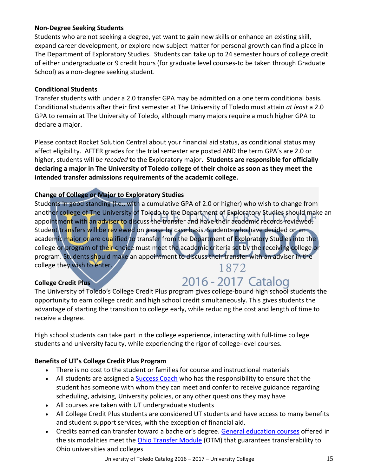## **Non-Degree Seeking Students**

Students who are not seeking a degree, yet want to gain new skills or enhance an existing skill, expand career development, or explore new subject matter for personal growth can find a place in The Department of Exploratory Studies. Students can take up to 24 semester hours of college credit of either undergraduate or 9 credit hours (for graduate level courses-to be taken through Graduate School) as a non-degree seeking student.

## **Conditional Students**

Transfer students with under a 2.0 transfer GPA may be admitted on a one term conditional basis. Conditional students after their first semester at The University of Toledo must attain *at least* a 2.0 GPA to remain at The University of Toledo, although many majors require a much higher GPA to declare a major.

Please contact Rocket Solution Central about your financial aid status, as conditional status may affect eligibility. AFTER grades for the trial semester are posted AND the term GPA's are 2.0 or higher, students will *be recoded* to the Exploratory major. **Students are responsible for officially declaring a major in The University of Toledo college of their choice as soon as they meet the intended transfer admissions requirements of the academic college.**

## **Change of College or Major to Exploratory Studies**

Students in good standing (i.e., with a cumulative GPA of 2.0 or higher) who wish to change from another college of The University of Toledo to the Department of Exploratory Studies should make an appointment with an adviser to discuss the transfer and have their academic records reviewed. Student transfers will be reviewed on a case by case basis. Students who have decided on an academic major or are qualified to transfer from the Department of Exploratory Studies into the college or program of their choice must meet the academic criteria set by the receiving college or program. Students should make an appointment to discuss their transfer with an adviser in the college they wish to enter. 1872

## **College Credit Plus**

# 2016 - 2017 Catalog

The University of Toledo's College Credit Plus program gives college-bound high school students the opportunity to earn college credit and high school credit simultaneously. This gives students the advantage of starting the transition to college early, while reducing the cost and length of time to receive a degree.

High school students can take part in the college experience, interacting with full-time college students and university faculty, while experiencing the rigor of college-level courses.

## **Benefits of UT's College Credit Plus Program**

- There is no cost to the student or families for course and instructional materials
- All students are assigned a **Success Coach** who has the responsibility to ensure that the student has someone with whom they can meet and confer to receive guidance regarding scheduling, advising, University policies, or any other questions they may have
- All courses are taken with UT undergraduate students
- All College Credit Plus students are considered UT students and have access to many benefits and student support services, with the exception of financial aid.
- Credits earned can transfer toward a bachelor's degree. [General education courses](http://www.utoledo.edu/admission/dualcredit/course-options.html) offered in the six modalities meet the [Ohio Transfer Module](https://www.ohiohighered.org/transfer/transfermodule) (OTM) that guarantees transferability to Ohio universities and colleges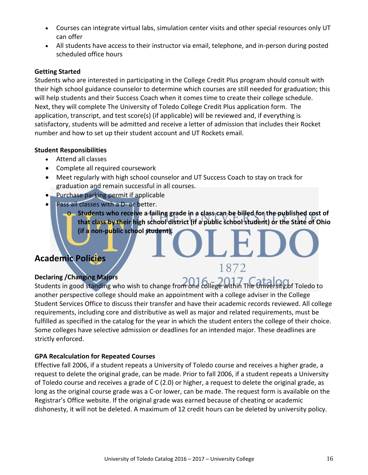- Courses can integrate virtual labs, simulation center visits and other special resources only UT can offer
- All students have access to their instructor via email, telephone, and in-person during posted scheduled office hours

## **Getting Started**

Students who are interested in participating in the College Credit Plus program should consult with their high school guidance counselor to determine which courses are still needed for graduation; this will help students and their Success Coach when it comes time to create their college schedule. Next, they will complete The University of Toledo College Credit Plus application form.The application, transcript, and test score(s) (if applicable) will be reviewed and, if everything is satisfactory, students will be admitted and receive a letter of admission that includes their Rocket number and how to set up their student account and UT Rockets email.

## **Student Responsibilities**

- Attend all classes
- Complete all required coursework
- Meet regularly with high school counselor and UT Success Coach to stay on track for graduation and remain successful in all courses.
- Purchase parking permit if applicable
- Pass all classes with a D- or better.
	- o **Students who receive a failing grade in a class can be billed for the published cost of that class by their high school district (if a public school student) or the State of Ohio (if a non-public school student).**

1872

# **Academic Policies**

## **Declaring /Changing Majors**

Students in good standing who wish to change from one college within The University of Toledo to another perspective college should make an appointment with a college adviser in the College Student Services Office to discuss their transfer and have their academic records reviewed. All college requirements, including core and distributive as well as major and related requirements, must be fulfilled as specified in the catalog for the year in which the student enters the college of their choice. Some colleges have selective admission or deadlines for an intended major. These deadlines are strictly enforced.

## **GPA Recalculation for Repeated Courses**

Effective fall 2006, if a student repeats a University of Toledo course and receives a higher grade, a request to delete the original grade, can be made. Prior to fall 2006, if a student repeats a University of Toledo course and receives a grade of C (2.0) or higher, a request to delete the original grade, as long as the original course grade was a C-or lower, can be made. The request form is available on the Registrar's Office website. If the original grade was earned because of cheating or academic dishonesty, it will not be deleted. A maximum of 12 credit hours can be deleted by university policy.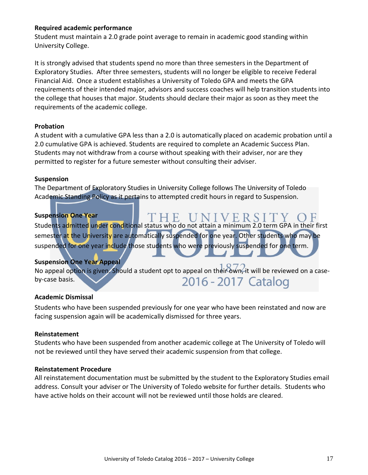## **Required academic performance**

Student must maintain a 2.0 grade point average to remain in academic good standing within University College.

It is strongly advised that students spend no more than three semesters in the Department of Exploratory Studies. After three semesters, students will no longer be eligible to receive Federal Financial Aid. Once a student establishes a University of Toledo GPA and meets the GPA requirements of their intended major, advisors and success coaches will help transition students into the college that houses that major. Students should declare their major as soon as they meet the requirements of the academic college.

## **Probation**

A student with a cumulative GPA less than a 2.0 is automatically placed on academic probation until a 2.0 cumulative GPA is achieved. Students are required to complete an Academic Success Plan. Students may not withdraw from a course without speaking with their adviser, nor are they permitted to register for a future semester without consulting their adviser.

## **Suspension**

The Department of Exploratory Studies in University College follows The University of Toledo Academic Standing Policy as it pertains to attempted credit hours in regard to Suspension.

## **Suspension One Year**

'HE UNIVERSITY Students admitted under conditional status who do not attain a minimum 2.0 term GPA in their first semester at the University are automatically suspended for one year. Other students who may be suspended for one year include those students who were previously suspended for one term.

## **Suspension One Year Appeal**

No appeal option is given. Should a student opt to appeal on their own, it will be reviewed on a case-2016 - 2017 Catalog by-case basis.

## **Academic Dismissal**

Students who have been suspended previously for one year who have been reinstated and now are facing suspension again will be academically dismissed for three years.

## **Reinstatement**

Students who have been suspended from another academic college at The University of Toledo will not be reviewed until they have served their academic suspension from that college.

## **Reinstatement Procedure**

All reinstatement documentation must be submitted by the student to the Exploratory Studies email address. Consult your adviser or The University of Toledo website for further details. Students who have active holds on their account will not be reviewed until those holds are cleared.